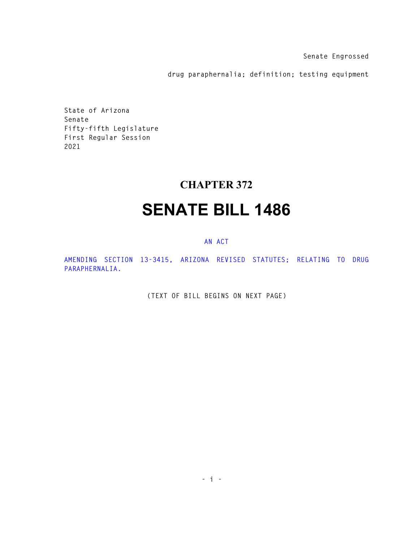**Senate Engrossed** 

**drug paraphernalia; definition; testing equipment** 

**State of Arizona Senate Fifty-fifth Legislature First Regular Session 2021** 

## **CHAPTER 372**

## **SENATE BILL 1486**

## **AN ACT**

**AMENDING SECTION 13-3415, ARIZONA REVISED STATUTES; RELATING TO DRUG PARAPHERNALIA.** 

**(TEXT OF BILL BEGINS ON NEXT PAGE)**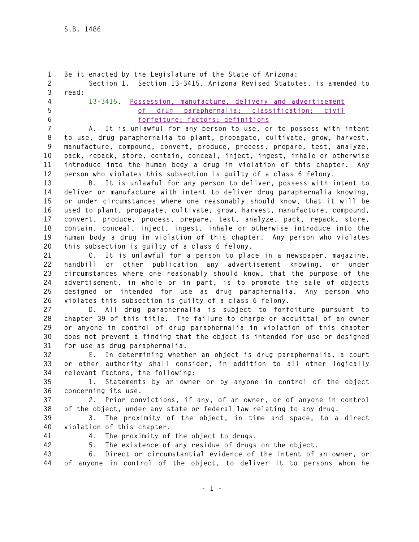```
1 Be it enacted by the Legislature of the State of Arizona: 
2 Section 1. Section 13-3415, Arizona Revised Statutes, is amended to 
3 read: 
4 13-3415. Possession, manufacture, delivery and advertisement 
5 of drug paraphernalia; classification; civil 
6 forfeiture; factors; definitions
7 A. It is unlawful for any person to use, or to possess with intent 
8 to use, drug paraphernalia to plant, propagate, cultivate, grow, harvest,
```
**9 manufacture, compound, convert, produce, process, prepare, test, analyze, 10 pack, repack, store, contain, conceal, inject, ingest, inhale or otherwise 11 introduce into the human body a drug in violation of this chapter. Any 12 person who violates this subsection is guilty of a class 6 felony.** 

**13 B. It is unlawful for any person to deliver, possess with intent to 14 deliver or manufacture with intent to deliver drug paraphernalia knowing, 15 or under circumstances where one reasonably should know, that it will be 16 used to plant, propagate, cultivate, grow, harvest, manufacture, compound, 17 convert, produce, process, prepare, test, analyze, pack, repack, store, 18 contain, conceal, inject, ingest, inhale or otherwise introduce into the 19 human body a drug in violation of this chapter. Any person who violates 20 this subsection is guilty of a class 6 felony.** 

**21 C. It is unlawful for a person to place in a newspaper, magazine, 22 handbill or other publication any advertisement knowing, or under 23 circumstances where one reasonably should know, that the purpose of the 24 advertisement, in whole or in part, is to promote the sale of objects 25 designed or intended for use as drug paraphernalia. Any person who 26 violates this subsection is guilty of a class 6 felony.** 

**27 D. All drug paraphernalia is subject to forfeiture pursuant to 28 chapter 39 of this title. The failure to charge or acquittal of an owner 29 or anyone in control of drug paraphernalia in violation of this chapter 30 does not prevent a finding that the object is intended for use or designed 31 for use as drug paraphernalia.** 

**32 E. In determining whether an object is drug paraphernalia, a court 33 or other authority shall consider, in addition to all other logically 34 relevant factors, the following:** 

**35 1. Statements by an owner or by anyone in control of the object 36 concerning its use.** 

**37 2. Prior convictions, if any, of an owner, or of anyone in control 38 of the object, under any state or federal law relating to any drug.** 

**39 3. The proximity of the object, in time and space, to a direct 40 violation of this chapter.** 

- 
- **41 4. The proximity of the object to drugs.**
- **42 5. The existence of any residue of drugs on the object.**

**43 6. Direct or circumstantial evidence of the intent of an owner, or 44 of anyone in control of the object, to deliver it to persons whom he**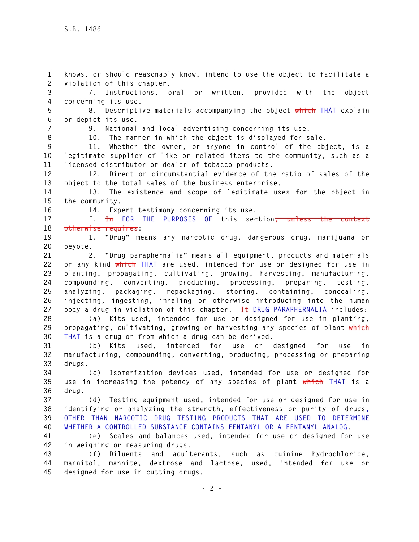**1 knows, or should reasonably know, intend to use the object to facilitate a 2 violation of this chapter. 3 7. Instructions, oral or written, provided with the object 4 concerning its use. 5 8. Descriptive materials accompanying the object which THAT explain 6 or depict its use. 7 9. National and local advertising concerning its use. 8 10. The manner in which the object is displayed for sale. 9 11. Whether the owner, or anyone in control of the object, is a 10 legitimate supplier of like or related items to the community, such as a 11 licensed distributor or dealer of tobacco products. 12 12. Direct or circumstantial evidence of the ratio of sales of the 13 object to the total sales of the business enterprise. 14 13. The existence and scope of legitimate uses for the object in 15 the community. 16 14. Expert testimony concerning its use. 17 F. In FOR THE PURPOSES OF this section, unless the context 18 otherwise requires: 19 1. "Drug" means any narcotic drug, dangerous drug, marijuana or 20 peyote. 21 2. "Drug paraphernalia" means all equipment, products and materials 22 of any kind which THAT are used, intended for use or designed for use in 23 planting, propagating, cultivating, growing, harvesting, manufacturing, 24 compounding, converting, producing, processing, preparing, testing, 25 analyzing, packaging, repackaging, storing, containing, concealing, 26 injecting, ingesting, inhaling or otherwise introducing into the human 27 body a drug in violation of this chapter. It DRUG PARAPHERNALIA includes: 28 (a) Kits used, intended for use or designed for use in planting, 29 propagating, cultivating, growing or harvesting any species of plant which 30 THAT is a drug or from which a drug can be derived. 31 (b) Kits used, intended for use or designed for use in 32 manufacturing, compounding, converting, producing, processing or preparing 33 drugs. 34 (c) Isomerization devices used, intended for use or designed for 35 use in increasing the potency of any species of plant which THAT is a 36 drug. 37 (d) Testing equipment used, intended for use or designed for use in 38 identifying or analyzing the strength, effectiveness or purity of drugs, 39 OTHER THAN NARCOTIC DRUG TESTING PRODUCTS THAT ARE USED TO DETERMINE 40 WHETHER A CONTROLLED SUBSTANCE CONTAINS FENTANYL OR A FENTANYL ANALOG. 41 (e) Scales and balances used, intended for use or designed for use 42 in weighing or measuring drugs. 43 (f) Diluents and adulterants, such as quinine hydrochloride, 44 mannitol, mannite, dextrose and lactose, used, intended for use or 45 designed for use in cutting drugs.**